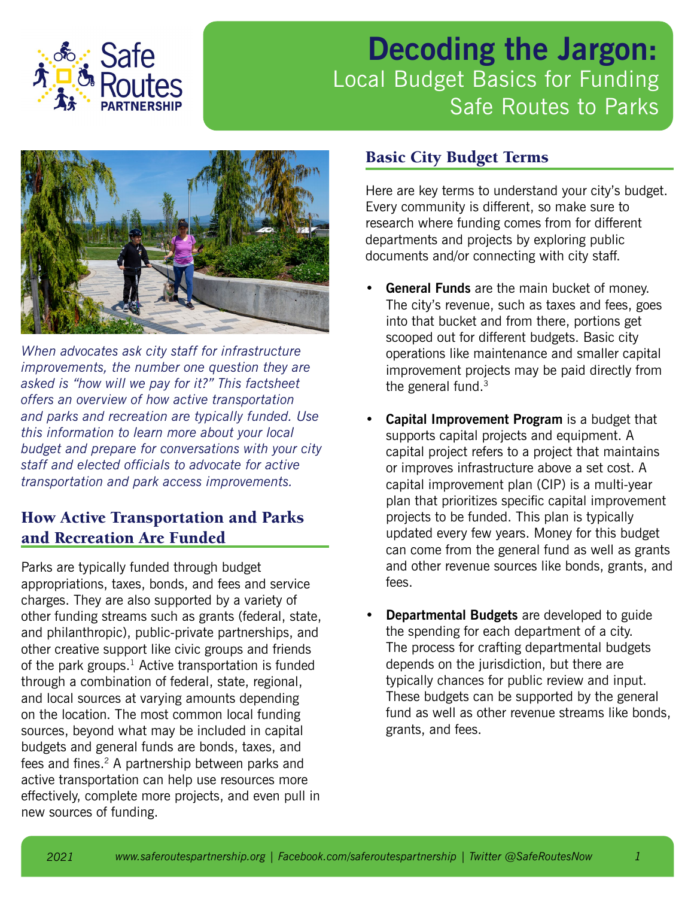

# **Decoding the Jargon:** Local Budget Basics for Funding Safe Routes to Parks



*When advocates ask city staff for infrastructure improvements, the number one question they are asked is "how will we pay for it?" This factsheet offers an overview of how active transportation and parks and recreation are typically funded. Use this information to learn more about your local budget and prepare for conversations with your city staff and elected officials to advocate for active transportation and park access improvements.* 

## How Active Transportation and Parks and Recreation Are Funded

Parks are typically funded through budget appropriations, taxes, bonds, and fees and service charges. They are also supported by a variety of other funding streams such as grants (federal, state, and philanthropic), public-private partnerships, and other creative support like civic groups and friends of the park groups. $1$  Active transportation is funded through a combination of federal, state, regional, and local sources at varying amounts depending on the location. The most common local funding sources, beyond what may be included in capital budgets and general funds are bonds, taxes, and fees and fines.<sup>2</sup> A partnership between parks and active transportation can help use resources more effectively, complete more projects, and even pull in new sources of funding.

### Basic City Budget Terms

Here are key terms to understand your city's budget. Every community is different, so make sure to research where funding comes from for different departments and projects by exploring public documents and/or connecting with city staff.

- **General Funds** are the main bucket of money. The city's revenue, such as taxes and fees, goes into that bucket and from there, portions get scooped out for different budgets. Basic city operations like maintenance and smaller capital improvement projects may be paid directly from the general fund.<sup>3</sup>
- **• Capital Improvement Program** is a budget that supports capital projects and equipment. A capital project refers to a project that maintains or improves infrastructure above a set cost. A capital improvement plan (CIP) is a multi-year plan that prioritizes specific capital improvement projects to be funded. This plan is typically updated every few years. Money for this budget can come from the general fund as well as grants and other revenue sources like bonds, grants, and fees.
- **• Departmental Budgets** are developed to guide the spending for each department of a city. The process for crafting departmental budgets depends on the jurisdiction, but there are typically chances for public review and input. These budgets can be supported by the general fund as well as other revenue streams like bonds, grants, and fees.